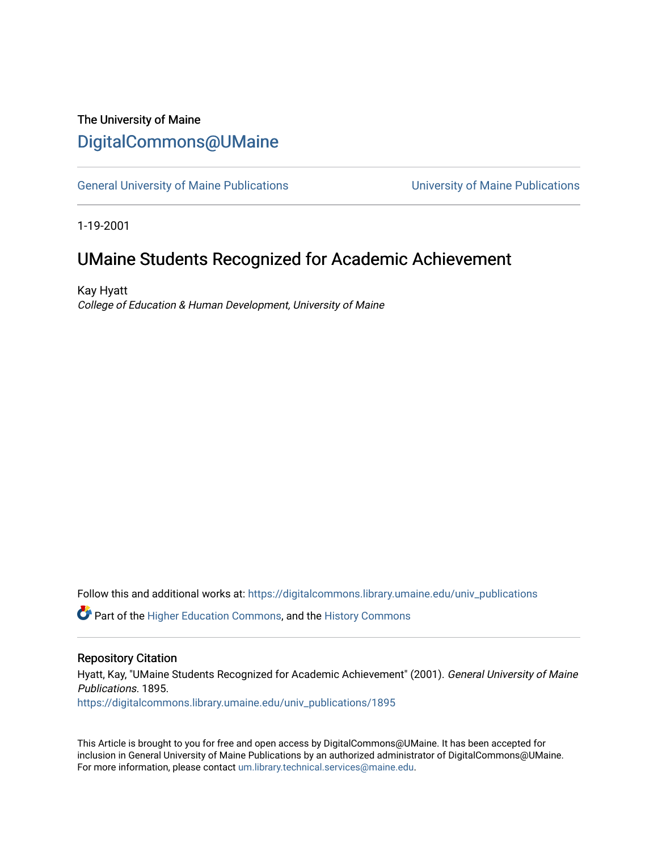### The University of Maine [DigitalCommons@UMaine](https://digitalcommons.library.umaine.edu/)

[General University of Maine Publications](https://digitalcommons.library.umaine.edu/univ_publications) [University of Maine Publications](https://digitalcommons.library.umaine.edu/umaine_publications) 

1-19-2001

### UMaine Students Recognized for Academic Achievement

Kay Hyatt College of Education & Human Development, University of Maine

Follow this and additional works at: [https://digitalcommons.library.umaine.edu/univ\\_publications](https://digitalcommons.library.umaine.edu/univ_publications?utm_source=digitalcommons.library.umaine.edu%2Funiv_publications%2F1895&utm_medium=PDF&utm_campaign=PDFCoverPages) 

**C** Part of the [Higher Education Commons,](http://network.bepress.com/hgg/discipline/1245?utm_source=digitalcommons.library.umaine.edu%2Funiv_publications%2F1895&utm_medium=PDF&utm_campaign=PDFCoverPages) and the [History Commons](http://network.bepress.com/hgg/discipline/489?utm_source=digitalcommons.library.umaine.edu%2Funiv_publications%2F1895&utm_medium=PDF&utm_campaign=PDFCoverPages)

#### Repository Citation

Hyatt, Kay, "UMaine Students Recognized for Academic Achievement" (2001). General University of Maine Publications. 1895.

[https://digitalcommons.library.umaine.edu/univ\\_publications/1895](https://digitalcommons.library.umaine.edu/univ_publications/1895?utm_source=digitalcommons.library.umaine.edu%2Funiv_publications%2F1895&utm_medium=PDF&utm_campaign=PDFCoverPages)

This Article is brought to you for free and open access by DigitalCommons@UMaine. It has been accepted for inclusion in General University of Maine Publications by an authorized administrator of DigitalCommons@UMaine. For more information, please contact [um.library.technical.services@maine.edu](mailto:um.library.technical.services@maine.edu).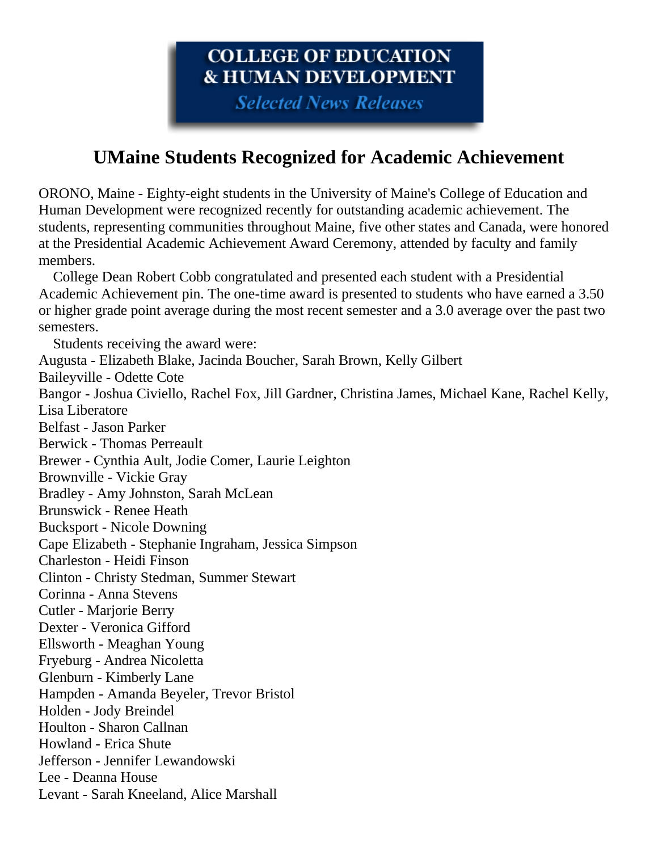# COLLEGE OF EDUCATION **& HUMAN DEVELOPMENT**

**Selected News Releases** 

# **UMaine Students Recognized for Academic Achievement**

ORONO, Maine - Eighty-eight students in the University of Maine's College of Education and Human Development were recognized recently for outstanding academic achievement. The students, representing communities throughout Maine, five other states and Canada, were honored at the Presidential Academic Achievement Award Ceremony, attended by faculty and family members.

 College Dean Robert Cobb congratulated and presented each student with a Presidential Academic Achievement pin. The one-time award is presented to students who have earned a 3.50 or higher grade point average during the most recent semester and a 3.0 average over the past two semesters.

 Students receiving the award were: Augusta - Elizabeth Blake, Jacinda Boucher, Sarah Brown, Kelly Gilbert Baileyville - Odette Cote Bangor - Joshua Civiello, Rachel Fox, Jill Gardner, Christina James, Michael Kane, Rachel Kelly, Lisa Liberatore Belfast - Jason Parker Berwick - Thomas Perreault Brewer - Cynthia Ault, Jodie Comer, Laurie Leighton Brownville - Vickie Gray Bradley - Amy Johnston, Sarah McLean Brunswick - Renee Heath Bucksport - Nicole Downing Cape Elizabeth - Stephanie Ingraham, Jessica Simpson Charleston - Heidi Finson Clinton - Christy Stedman, Summer Stewart Corinna - Anna Stevens Cutler - Marjorie Berry Dexter - Veronica Gifford Ellsworth - Meaghan Young Fryeburg - Andrea Nicoletta Glenburn - Kimberly Lane Hampden - Amanda Beyeler, Trevor Bristol Holden - Jody Breindel Houlton - Sharon Callnan Howland - Erica Shute Jefferson - Jennifer Lewandowski Lee - Deanna House Levant - Sarah Kneeland, Alice Marshall